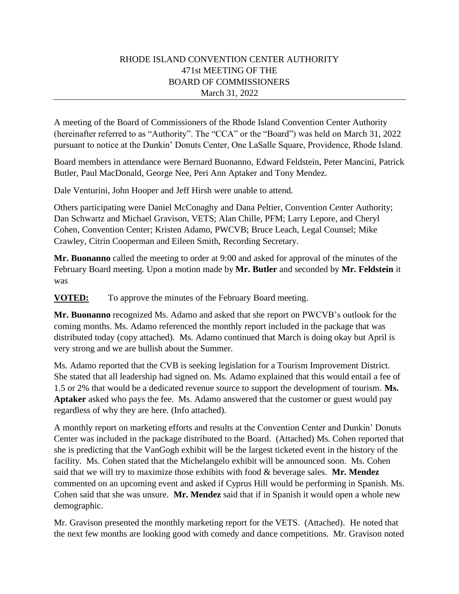## RHODE ISLAND CONVENTION CENTER AUTHORITY 471st MEETING OF THE BOARD OF COMMISSIONERS March 31, 2022

A meeting of the Board of Commissioners of the Rhode Island Convention Center Authority (hereinafter referred to as "Authority". The "CCA" or the "Board") was held on March 31, 2022 pursuant to notice at the Dunkin' Donuts Center, One LaSalle Square, Providence, Rhode Island.

Board members in attendance were Bernard Buonanno, Edward Feldstein, Peter Mancini, Patrick Butler, Paul MacDonald, George Nee, Peri Ann Aptaker and Tony Mendez.

Dale Venturini, John Hooper and Jeff Hirsh were unable to attend.

Others participating were Daniel McConaghy and Dana Peltier, Convention Center Authority; Dan Schwartz and Michael Gravison, VETS; Alan Chille, PFM; Larry Lepore, and Cheryl Cohen, Convention Center; Kristen Adamo, PWCVB; Bruce Leach, Legal Counsel; Mike Crawley, Citrin Cooperman and Eileen Smith, Recording Secretary.

**Mr. Buonanno** called the meeting to order at 9:00 and asked for approval of the minutes of the February Board meeting. Upon a motion made by **Mr. Butler** and seconded by **Mr. Feldstein** it was

**VOTED:** To approve the minutes of the February Board meeting.

**Mr. Buonanno** recognized Ms. Adamo and asked that she report on PWCVB's outlook for the coming months. Ms. Adamo referenced the monthly report included in the package that was distributed today (copy attached). Ms. Adamo continued that March is doing okay but April is very strong and we are bullish about the Summer.

Ms. Adamo reported that the CVB is seeking legislation for a Tourism Improvement District. She stated that all leadership had signed on. Ms. Adamo explained that this would entail a fee of 1.5 or 2% that would be a dedicated revenue source to support the development of tourism. **Ms. Aptaker** asked who pays the fee. Ms. Adamo answered that the customer or guest would pay regardless of why they are here. (Info attached).

A monthly report on marketing efforts and results at the Convention Center and Dunkin' Donuts Center was included in the package distributed to the Board. (Attached) Ms. Cohen reported that she is predicting that the VanGogh exhibit will be the largest ticketed event in the history of the facility. Ms. Cohen stated that the Michelangelo exhibit will be announced soon. Ms. Cohen said that we will try to maximize those exhibits with food & beverage sales. **Mr. Mendez**  commented on an upcoming event and asked if Cyprus Hill would be performing in Spanish. Ms. Cohen said that she was unsure. **Mr. Mendez** said that if in Spanish it would open a whole new demographic.

Mr. Gravison presented the monthly marketing report for the VETS. (Attached). He noted that the next few months are looking good with comedy and dance competitions. Mr. Gravison noted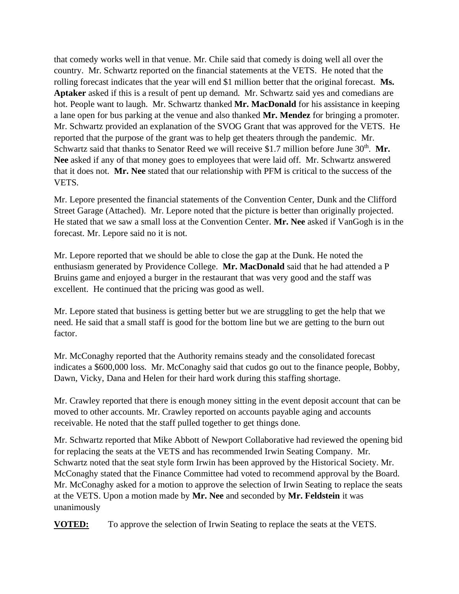that comedy works well in that venue. Mr. Chile said that comedy is doing well all over the country. Mr. Schwartz reported on the financial statements at the VETS. He noted that the rolling forecast indicates that the year will end \$1 million better that the original forecast. **Ms. Aptaker** asked if this is a result of pent up demand. Mr. Schwartz said yes and comedians are hot. People want to laugh. Mr. Schwartz thanked **Mr. MacDonald** for his assistance in keeping a lane open for bus parking at the venue and also thanked **Mr. Mendez** for bringing a promoter. Mr. Schwartz provided an explanation of the SVOG Grant that was approved for the VETS. He reported that the purpose of the grant was to help get theaters through the pandemic. Mr. Schwartz said that thanks to Senator Reed we will receive \$1.7 million before June 30<sup>th</sup>. Mr. **Nee** asked if any of that money goes to employees that were laid off. Mr. Schwartz answered that it does not. **Mr. Nee** stated that our relationship with PFM is critical to the success of the VETS.

Mr. Lepore presented the financial statements of the Convention Center, Dunk and the Clifford Street Garage (Attached). Mr. Lepore noted that the picture is better than originally projected. He stated that we saw a small loss at the Convention Center. **Mr. Nee** asked if VanGogh is in the forecast. Mr. Lepore said no it is not.

Mr. Lepore reported that we should be able to close the gap at the Dunk. He noted the enthusiasm generated by Providence College. **Mr. MacDonald** said that he had attended a P Bruins game and enjoyed a burger in the restaurant that was very good and the staff was excellent. He continued that the pricing was good as well.

Mr. Lepore stated that business is getting better but we are struggling to get the help that we need. He said that a small staff is good for the bottom line but we are getting to the burn out factor.

Mr. McConaghy reported that the Authority remains steady and the consolidated forecast indicates a \$600,000 loss. Mr. McConaghy said that cudos go out to the finance people, Bobby, Dawn, Vicky, Dana and Helen for their hard work during this staffing shortage.

Mr. Crawley reported that there is enough money sitting in the event deposit account that can be moved to other accounts. Mr. Crawley reported on accounts payable aging and accounts receivable. He noted that the staff pulled together to get things done.

Mr. Schwartz reported that Mike Abbott of Newport Collaborative had reviewed the opening bid for replacing the seats at the VETS and has recommended Irwin Seating Company. Mr. Schwartz noted that the seat style form Irwin has been approved by the Historical Society. Mr. McConaghy stated that the Finance Committee had voted to recommend approval by the Board. Mr. McConaghy asked for a motion to approve the selection of Irwin Seating to replace the seats at the VETS. Upon a motion made by **Mr. Nee** and seconded by **Mr. Feldstein** it was unanimously

**VOTED:** To approve the selection of Irwin Seating to replace the seats at the VETS.